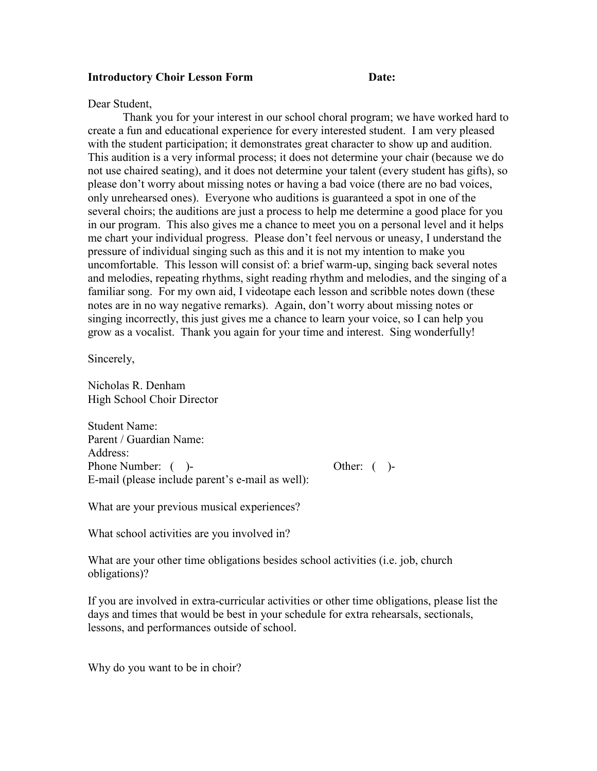## **Introductory Choir Lesson Form Date:** Date:

## Dear Student,

 Thank you for your interest in our school choral program; we have worked hard to create a fun and educational experience for every interested student. I am very pleased with the student participation; it demonstrates great character to show up and audition. This audition is a very informal process; it does not determine your chair (because we do not use chaired seating), and it does not determine your talent (every student has gifts), so please don't worry about missing notes or having a bad voice (there are no bad voices, only unrehearsed ones). Everyone who auditions is guaranteed a spot in one of the several choirs; the auditions are just a process to help me determine a good place for you in our program. This also gives me a chance to meet you on a personal level and it helps me chart your individual progress. Please don't feel nervous or uneasy, I understand the pressure of individual singing such as this and it is not my intention to make you uncomfortable. This lesson will consist of: a brief warm-up, singing back several notes and melodies, repeating rhythms, sight reading rhythm and melodies, and the singing of a familiar song. For my own aid, I videotape each lesson and scribble notes down (these notes are in no way negative remarks). Again, don't worry about missing notes or singing incorrectly, this just gives me a chance to learn your voice, so I can help you grow as a vocalist. Thank you again for your time and interest. Sing wonderfully!

Sincerely,

Nicholas R. Denham High School Choir Director

Student Name: Parent / Guardian Name: Address: Phone Number: ( )- Other: ( )-E-mail (please include parent's e-mail as well):

What are your previous musical experiences?

What school activities are you involved in?

What are your other time obligations besides school activities (i.e. job, church obligations)?

If you are involved in extra-curricular activities or other time obligations, please list the days and times that would be best in your schedule for extra rehearsals, sectionals, lessons, and performances outside of school.

Why do you want to be in choir?